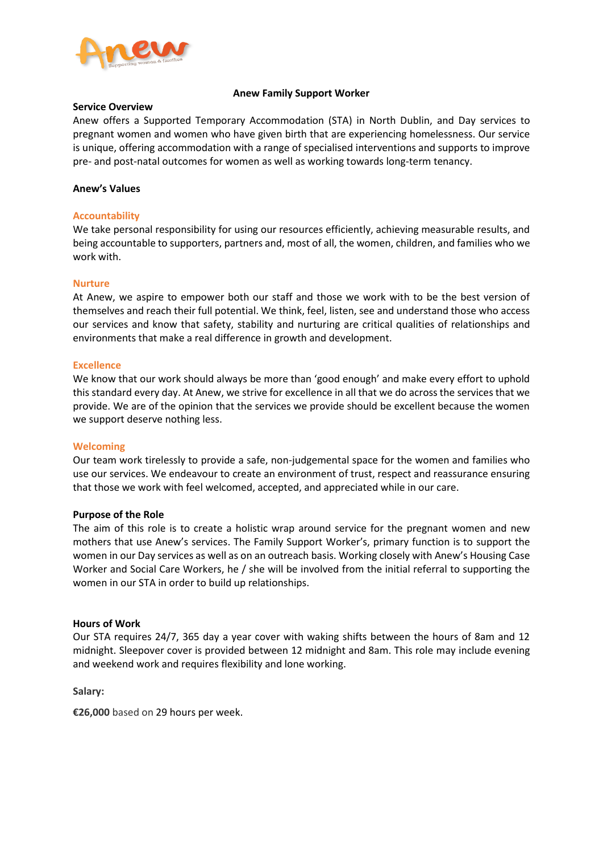

## **Anew Family Support Worker**

#### **Service Overview**

Anew offers a Supported Temporary Accommodation (STA) in North Dublin, and Day services to pregnant women and women who have given birth that are experiencing homelessness. Our service is unique, offering accommodation with a range of specialised interventions and supports to improve pre- and post-natal outcomes for women as well as working towards long-term tenancy.

## **Anew's Values**

## **Accountability**

We take personal responsibility for using our resources efficiently, achieving measurable results, and being accountable to supporters, partners and, most of all, the women, children, and families who we work with.

#### **Nurture**

At Anew, we aspire to empower both our staff and those we work with to be the best version of themselves and reach their full potential. We think, feel, listen, see and understand those who access our services and know that safety, stability and nurturing are critical qualities of relationships and environments that make a real difference in growth and development.

## **Excellence**

We know that our work should always be more than 'good enough' and make every effort to uphold this standard every day. At Anew, we strive for excellence in all that we do across the services that we provide. We are of the opinion that the services we provide should be excellent because the women we support deserve nothing less.

#### **Welcoming**

Our team work tirelessly to provide a safe, non-judgemental space for the women and families who use our services. We endeavour to create an environment of trust, respect and reassurance ensuring that those we work with feel welcomed, accepted, and appreciated while in our care.

#### **Purpose of the Role**

The aim of this role is to create a holistic wrap around service for the pregnant women and new mothers that use Anew's services. The Family Support Worker's, primary function is to support the women in our Day services as well as on an outreach basis. Working closely with Anew's Housing Case Worker and Social Care Workers, he / she will be involved from the initial referral to supporting the women in our STA in order to build up relationships.

#### **Hours of Work**

Our STA requires 24/7, 365 day a year cover with waking shifts between the hours of 8am and 12 midnight. Sleepover cover is provided between 12 midnight and 8am. This role may include evening and weekend work and requires flexibility and lone working.

**Salary:**

**€26,000** based on 29 hours per week.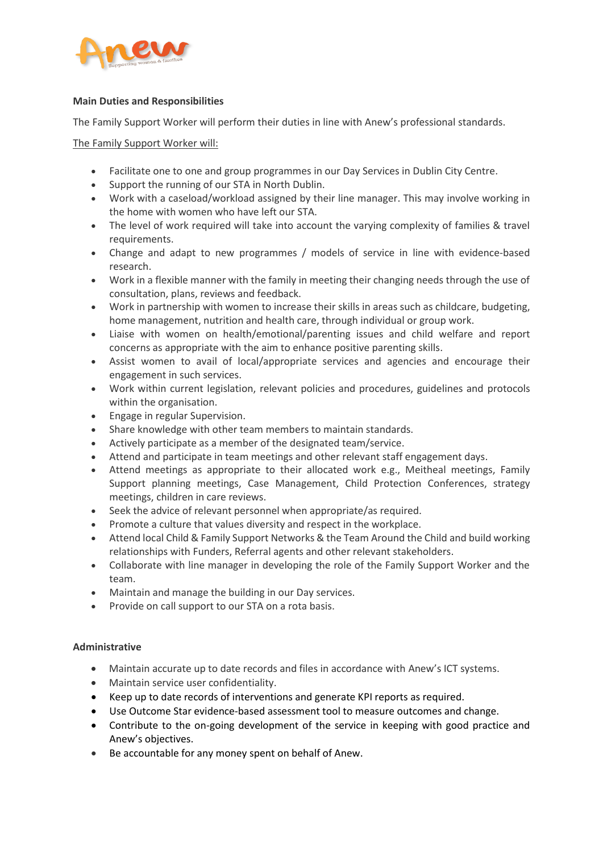

# **Main Duties and Responsibilities**

The Family Support Worker will perform their duties in line with Anew's professional standards.

The Family Support Worker will:

- Facilitate one to one and group programmes in our Day Services in Dublin City Centre.
- Support the running of our STA in North Dublin.
- Work with a caseload/workload assigned by their line manager. This may involve working in the home with women who have left our STA.
- The level of work required will take into account the varying complexity of families & travel requirements.
- Change and adapt to new programmes / models of service in line with evidence-based research.
- Work in a flexible manner with the family in meeting their changing needs through the use of consultation, plans, reviews and feedback.
- Work in partnership with women to increase their skills in areas such as childcare, budgeting, home management, nutrition and health care, through individual or group work.
- Liaise with women on health/emotional/parenting issues and child welfare and report concerns as appropriate with the aim to enhance positive parenting skills.
- Assist women to avail of local/appropriate services and agencies and encourage their engagement in such services.
- Work within current legislation, relevant policies and procedures, guidelines and protocols within the organisation.
- Engage in regular Supervision.
- Share knowledge with other team members to maintain standards.
- Actively participate as a member of the designated team/service.
- Attend and participate in team meetings and other relevant staff engagement days.
- Attend meetings as appropriate to their allocated work e.g., Meitheal meetings, Family Support planning meetings, Case Management, Child Protection Conferences, strategy meetings, children in care reviews.
- Seek the advice of relevant personnel when appropriate/as required.
- Promote a culture that values diversity and respect in the workplace.
- Attend local Child & Family Support Networks & the Team Around the Child and build working relationships with Funders, Referral agents and other relevant stakeholders.
- Collaborate with line manager in developing the role of the Family Support Worker and the team.
- Maintain and manage the building in our Day services.
- Provide on call support to our STA on a rota basis.

# **Administrative**

- Maintain accurate up to date records and files in accordance with Anew's ICT systems.
- Maintain service user confidentiality.
- Keep up to date records of interventions and generate KPI reports as required.
- Use Outcome Star evidence-based assessment tool to measure outcomes and change.
- Contribute to the on-going development of the service in keeping with good practice and Anew's objectives.
- Be accountable for any money spent on behalf of Anew.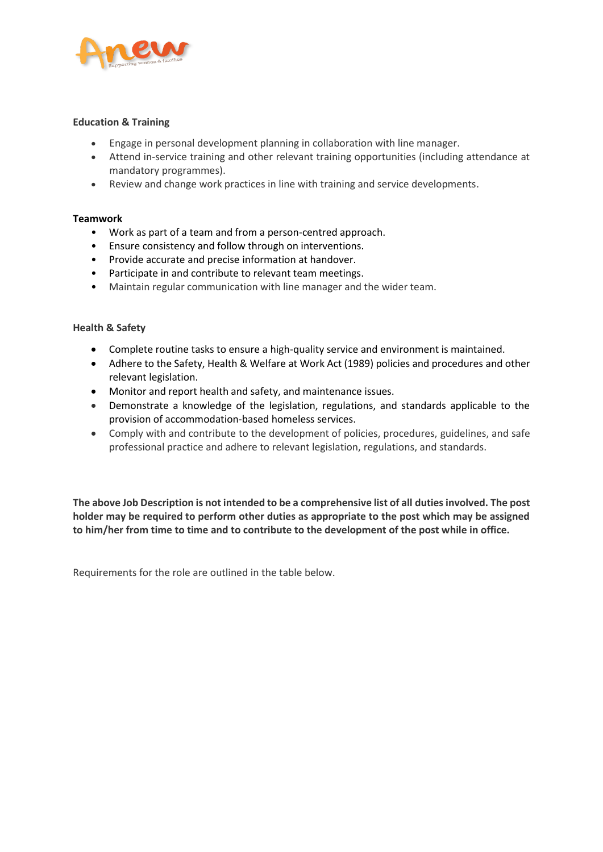

# **Education & Training**

- Engage in personal development planning in collaboration with line manager.
- Attend in-service training and other relevant training opportunities (including attendance at mandatory programmes).
- Review and change work practices in line with training and service developments.

# **Teamwork**

- Work as part of a team and from a person-centred approach.
- Ensure consistency and follow through on interventions.
- Provide accurate and precise information at handover.
- Participate in and contribute to relevant team meetings.
- Maintain regular communication with line manager and the wider team.

# **Health & Safety**

- Complete routine tasks to ensure a high-quality service and environment is maintained.
- Adhere to the Safety, Health & Welfare at Work Act (1989) policies and procedures and other relevant legislation.
- Monitor and report health and safety, and maintenance issues.
- Demonstrate a knowledge of the legislation, regulations, and standards applicable to the provision of accommodation-based homeless services.
- Comply with and contribute to the development of policies, procedures, guidelines, and safe professional practice and adhere to relevant legislation, regulations, and standards.

**The above Job Description is not intended to be a comprehensive list of all duties involved. The post holder may be required to perform other duties as appropriate to the post which may be assigned to him/her from time to time and to contribute to the development of the post while in office.**

Requirements for the role are outlined in the table below.